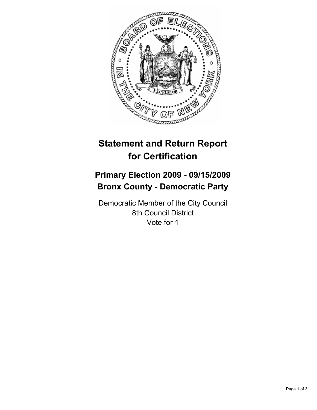

## **Statement and Return Report for Certification**

## **Primary Election 2009 - 09/15/2009 Bronx County - Democratic Party**

Democratic Member of the City Council 8th Council District Vote for 1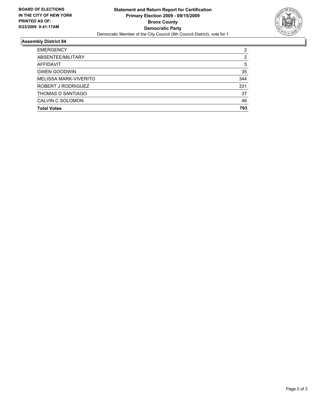

## **Assembly District 84**

| <b>EMERGENCY</b>      | 2   |
|-----------------------|-----|
| ABSENTEE/MILITARY     | 2   |
| AFFIDAVIT             | 5   |
| <b>GWEN GOODWIN</b>   | 35  |
| MELISSA MARK-VIVERITO | 344 |
| ROBERT J RODRIGUEZ    | 331 |
| THOMAS D SANTIAGO     | 37  |
| CALVIN C SOLOMON      | 46  |
| <b>Total Votes</b>    | 793 |